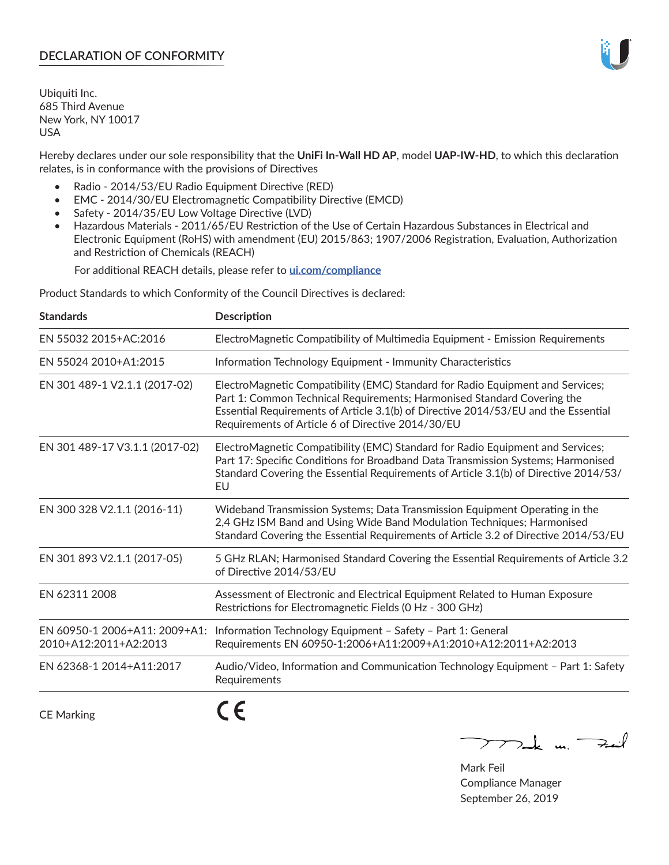# **DECLARATION OF CONFORMITY**

Ubiquiti Inc. 685 Third Avenue New York, NY 10017 USA

Hereby declares under our sole responsibility that the **UniFi In-Wall HD AP**, model **UAP-IW-HD**, to which this declaration relates, is in conformance with the provisions of Directives

- Radio 2014/53/EU Radio Equipment Directive (RED)
- EMC 2014/30/EU Electromagnetic Compatibility Directive (EMCD)
- Safety 2014/35/EU Low Voltage Directive (LVD)
- Hazardous Materials 2011/65/EU Restriction of the Use of Certain Hazardous Substances in Electrical and Electronic Equipment (RoHS) with amendment (EU) 2015/863; 1907/2006 Registration, Evaluation, Authorization and Restriction of Chemicals (REACH)

For additional REACH details, please refer to **[ui.com/compliance](https://dl.ui.com/compliance/REACH_Compliance_Declaration.pdf)**

Product Standards to which Conformity of the Council Directives is declared:

| <b>Standards</b>                                       | <b>Description</b>                                                                                                                                                                                                                                                                                   |
|--------------------------------------------------------|------------------------------------------------------------------------------------------------------------------------------------------------------------------------------------------------------------------------------------------------------------------------------------------------------|
| EN 55032 2015+AC:2016                                  | ElectroMagnetic Compatibility of Multimedia Equipment - Emission Requirements                                                                                                                                                                                                                        |
| EN 55024 2010+A1:2015                                  | Information Technology Equipment - Immunity Characteristics                                                                                                                                                                                                                                          |
| EN 301 489-1 V2.1.1 (2017-02)                          | ElectroMagnetic Compatibility (EMC) Standard for Radio Equipment and Services;<br>Part 1: Common Technical Requirements; Harmonised Standard Covering the<br>Essential Requirements of Article 3.1(b) of Directive 2014/53/EU and the Essential<br>Requirements of Article 6 of Directive 2014/30/EU |
| EN 301 489-17 V3.1.1 (2017-02)                         | ElectroMagnetic Compatibility (EMC) Standard for Radio Equipment and Services;<br>Part 17: Specific Conditions for Broadband Data Transmission Systems; Harmonised<br>Standard Covering the Essential Requirements of Article 3.1(b) of Directive 2014/53/<br>EU                                     |
| EN 300 328 V2.1.1 (2016-11)                            | Wideband Transmission Systems; Data Transmission Equipment Operating in the<br>2,4 GHz ISM Band and Using Wide Band Modulation Techniques; Harmonised<br>Standard Covering the Essential Requirements of Article 3.2 of Directive 2014/53/EU                                                         |
| EN 301 893 V2.1.1 (2017-05)                            | 5 GHz RLAN; Harmonised Standard Covering the Essential Requirements of Article 3.2<br>of Directive 2014/53/EU                                                                                                                                                                                        |
| EN 62311 2008                                          | Assessment of Electronic and Electrical Equipment Related to Human Exposure<br>Restrictions for Electromagnetic Fields (0 Hz - 300 GHz)                                                                                                                                                              |
| EN 60950-1 2006+A11: 2009+A1:<br>2010+A12:2011+A2:2013 | Information Technology Equipment - Safety - Part 1: General<br>Requirements EN 60950-1:2006+A11:2009+A1:2010+A12:2011+A2:2013                                                                                                                                                                        |
| EN 62368-1 2014+A11:2017                               | Audio/Video, Information and Communication Technology Equipment - Part 1: Safety<br>Requirements                                                                                                                                                                                                     |
| <b>CE Marking</b>                                      |                                                                                                                                                                                                                                                                                                      |

Tak m. Fail  $\overline{\phantom{1}}$ 

Mark Feil Compliance Manager September 26, 2019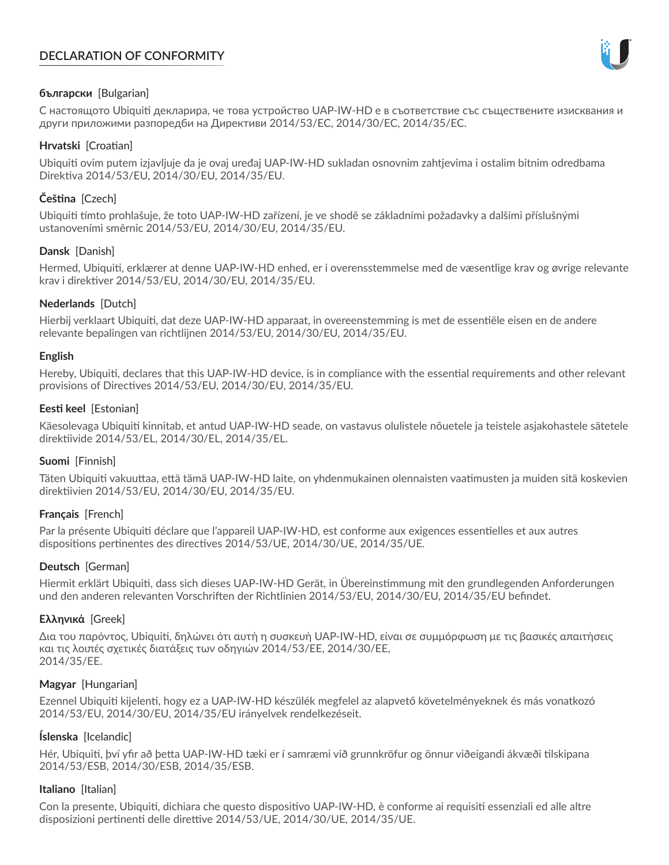# **DECLARATION OF CONFORMITY**



## **български** [Bulgarian]

С настоящото Ubiquiti декларира, че това устройство UAP-IW-HD е в съответствие със съществените изисквания и други приложими разпоредби на Директиви 2014/53/EC, 2014/30/ЕС, 2014/35/ЕС.

## **Hrvatski** [Croatian]

Ubiquiti ovim putem izjavljuje da je ovaj uređaj UAP-IW-HD sukladan osnovnim zahtjevima i ostalim bitnim odredbama Direktiva 2014/53/EU, 2014/30/EU, 2014/35/EU.

# **Čeština** [Czech]

Ubiquiti tímto prohlašuje, že toto UAP-IW-HD zařízení, je ve shodě se základními požadavky a dalšími příslušnými ustanoveními směrnic 2014/53/EU, 2014/30/EU, 2014/35/EU.

# **Dansk** [Danish]

Hermed, Ubiquiti, erklærer at denne UAP-IW-HD enhed, er i overensstemmelse med de væsentlige krav og øvrige relevante krav i direktiver 2014/53/EU, 2014/30/EU, 2014/35/EU.

# **Nederlands** [Dutch]

Hierbij verklaart Ubiquiti, dat deze UAP-IW-HD apparaat, in overeenstemming is met de essentiële eisen en de andere relevante bepalingen van richtlijnen 2014/53/EU, 2014/30/EU, 2014/35/EU.

## **English**

Hereby, Ubiquiti, declares that this UAP-IW-HD device, is in compliance with the essential requirements and other relevant provisions of Directives 2014/53/EU, 2014/30/EU, 2014/35/EU.

# **Eesti keel** [Estonian]

Käesolevaga Ubiquiti kinnitab, et antud UAP-IW-HD seade, on vastavus olulistele nõuetele ja teistele asjakohastele sätetele direktiivide 2014/53/EL, 2014/30/EL, 2014/35/EL.

## **Suomi** [Finnish]

Täten Ubiquiti vakuuttaa, että tämä UAP-IW-HD laite, on yhdenmukainen olennaisten vaatimusten ja muiden sitä koskevien direktiivien 2014/53/EU, 2014/30/EU, 2014/35/EU.

## **Français** [French]

Par la présente Ubiquiti déclare que l'appareil UAP-IW-HD, est conforme aux exigences essentielles et aux autres dispositions pertinentes des directives 2014/53/UE, 2014/30/UE, 2014/35/UE.

## **Deutsch** [German]

Hiermit erklärt Ubiquiti, dass sich dieses UAP-IW-HD Gerät, in Übereinstimmung mit den grundlegenden Anforderungen und den anderen relevanten Vorschriften der Richtlinien 2014/53/EU, 2014/30/EU, 2014/35/EU befindet.

## **Ελληνικά** [Greek]

Δια του παρόντος, Ubiquiti, δηλώνει ότι αυτή η συσκευή UAP-IW-HD, είναι σε συμμόρφωση με τις βασικές απαιτήσεις και τις λοιπές σχετικές διατάξεις των οδηγιών 2014/53/EE, 2014/30/EE, 2014/35/EE.

## **Magyar** [Hungarian]

Ezennel Ubiquiti kijelenti, hogy ez a UAP-IW-HD készülék megfelel az alapvető követelményeknek és más vonatkozó 2014/53/EU, 2014/30/EU, 2014/35/EU irányelvek rendelkezéseit.

## **Íslenska** [Icelandic]

Hér, Ubiquiti, því yfir að þetta UAP-IW-HD tæki er í samræmi við grunnkröfur og önnur viðeigandi ákvæði tilskipana 2014/53/ESB, 2014/30/ESB, 2014/35/ESB.

## **Italiano** [Italian]

Con la presente, Ubiquiti, dichiara che questo dispositivo UAP-IW-HD, è conforme ai requisiti essenziali ed alle altre disposizioni pertinenti delle direttive 2014/53/UE, 2014/30/UE, 2014/35/UE.